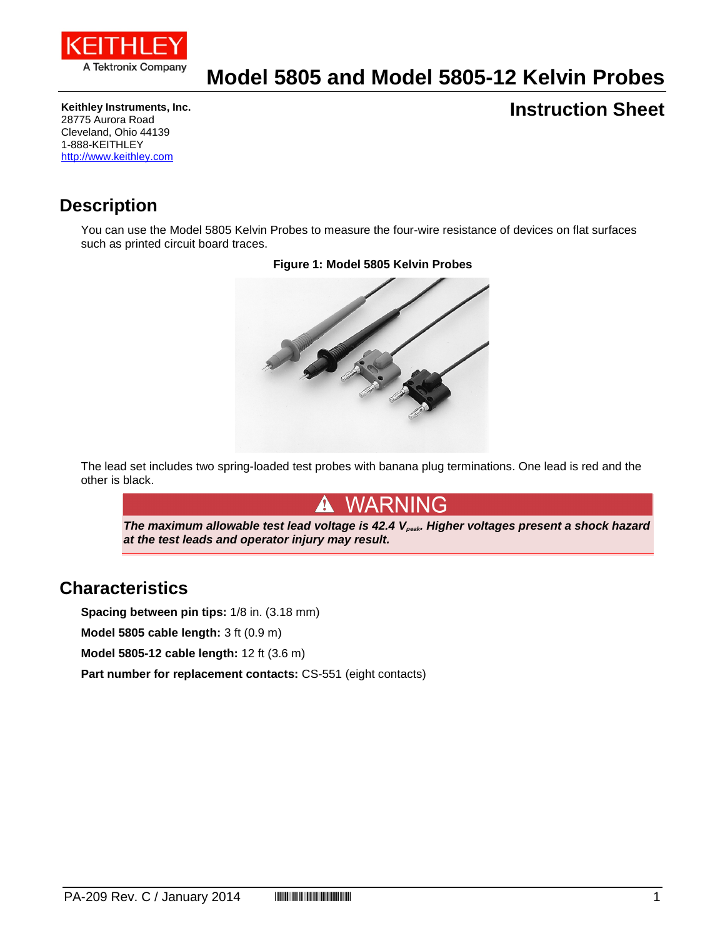

# **Model 5805 and Model 5805-12 Kelvin Probes**

**Keithley Instruments, Inc.** 28775 Aurora Road Cleveland, Ohio 44139 1-888-KEITHLEY [http://www.keithley.com](http://www.keithley.com/)

### **Instruction Sheet**

### **Description**

You can use the Model 5805 Kelvin Probes to measure the four-wire resistance of devices on flat surfaces such as printed circuit board traces.



The lead set includes two spring-loaded test probes with banana plug terminations. One lead is red and the other is black.

### WARNING

*The maximum allowable test lead voltage is 42.4 Vpeak. Higher voltages present a shock hazard at the test leads and operator injury may result.*

#### **Characteristics**

**Spacing between pin tips:** 1/8 in. (3.18 mm)

**Model 5805 cable length:** 3 ft (0.9 m)

**Model 5805-12 cable length:** 12 ft (3.6 m)

**Part number for replacement contacts:** CS-551 (eight contacts)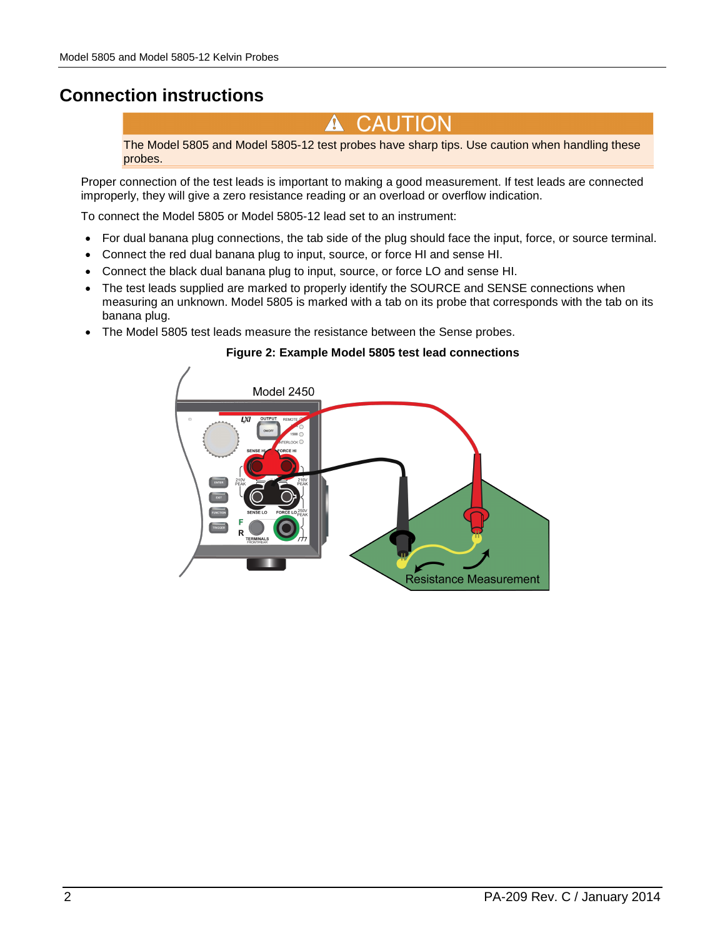## **Connection instructions**

CAUTION  $\sqrt{2}$ 

The Model 5805 and Model 5805-12 test probes have sharp tips. Use caution when handling these probes.

Proper connection of the test leads is important to making a good measurement. If test leads are connected improperly, they will give a zero resistance reading or an overload or overflow indication.

To connect the Model 5805 or Model 5805-12 lead set to an instrument:

- For dual banana plug connections, the tab side of the plug should face the input, force, or source terminal.
- Connect the red dual banana plug to input, source, or force HI and sense HI.
- Connect the black dual banana plug to input, source, or force LO and sense HI.
- The test leads supplied are marked to properly identify the SOURCE and SENSE connections when measuring an unknown. Model 5805 is marked with a tab on its probe that corresponds with the tab on its banana plug.
- The Model 5805 test leads measure the resistance between the Sense probes.

#### **Figure 2: Example Model 5805 test lead connections**

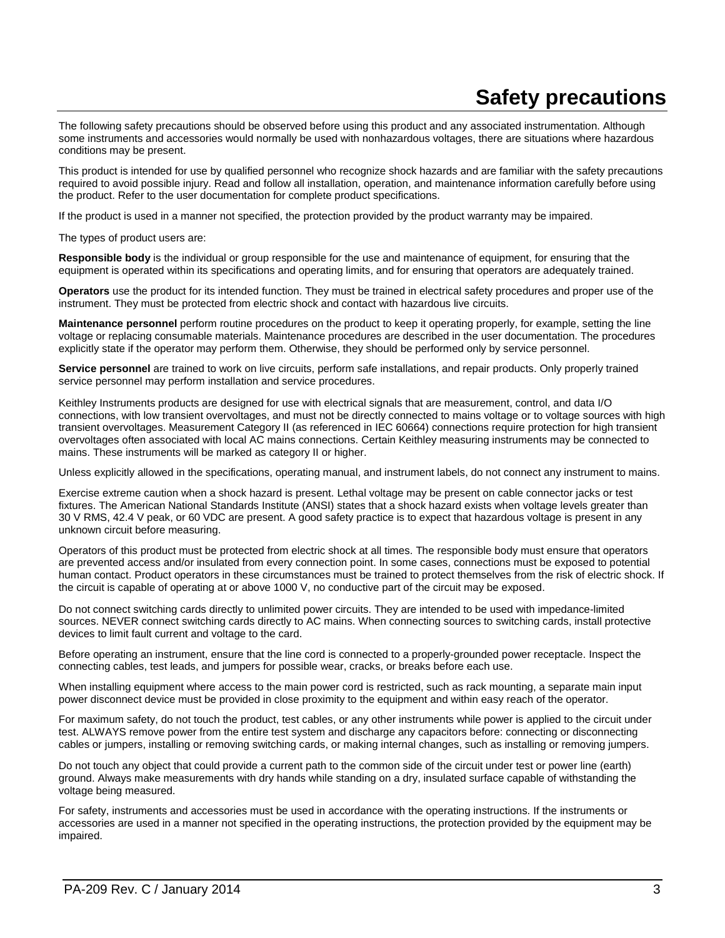# **Safety precautions**

The following safety precautions should be observed before using this product and any associated instrumentation. Although some instruments and accessories would normally be used with nonhazardous voltages, there are situations where hazardous conditions may be present.

This product is intended for use by qualified personnel who recognize shock hazards and are familiar with the safety precautions required to avoid possible injury. Read and follow all installation, operation, and maintenance information carefully before using the product. Refer to the user documentation for complete product specifications.

If the product is used in a manner not specified, the protection provided by the product warranty may be impaired.

The types of product users are:

**Responsible body** is the individual or group responsible for the use and maintenance of equipment, for ensuring that the equipment is operated within its specifications and operating limits, and for ensuring that operators are adequately trained.

**Operators** use the product for its intended function. They must be trained in electrical safety procedures and proper use of the instrument. They must be protected from electric shock and contact with hazardous live circuits.

**Maintenance personnel** perform routine procedures on the product to keep it operating properly, for example, setting the line voltage or replacing consumable materials. Maintenance procedures are described in the user documentation. The procedures explicitly state if the operator may perform them. Otherwise, they should be performed only by service personnel.

**Service personnel** are trained to work on live circuits, perform safe installations, and repair products. Only properly trained service personnel may perform installation and service procedures.

Keithley Instruments products are designed for use with electrical signals that are measurement, control, and data I/O connections, with low transient overvoltages, and must not be directly connected to mains voltage or to voltage sources with high transient overvoltages. Measurement Category II (as referenced in IEC 60664) connections require protection for high transient overvoltages often associated with local AC mains connections. Certain Keithley measuring instruments may be connected to mains. These instruments will be marked as category II or higher.

Unless explicitly allowed in the specifications, operating manual, and instrument labels, do not connect any instrument to mains.

Exercise extreme caution when a shock hazard is present. Lethal voltage may be present on cable connector jacks or test fixtures. The American National Standards Institute (ANSI) states that a shock hazard exists when voltage levels greater than 30 V RMS, 42.4 V peak, or 60 VDC are present. A good safety practice is to expect that hazardous voltage is present in any unknown circuit before measuring.

Operators of this product must be protected from electric shock at all times. The responsible body must ensure that operators are prevented access and/or insulated from every connection point. In some cases, connections must be exposed to potential human contact. Product operators in these circumstances must be trained to protect themselves from the risk of electric shock. If the circuit is capable of operating at or above 1000 V, no conductive part of the circuit may be exposed.

Do not connect switching cards directly to unlimited power circuits. They are intended to be used with impedance-limited sources. NEVER connect switching cards directly to AC mains. When connecting sources to switching cards, install protective devices to limit fault current and voltage to the card.

Before operating an instrument, ensure that the line cord is connected to a properly-grounded power receptacle. Inspect the connecting cables, test leads, and jumpers for possible wear, cracks, or breaks before each use.

When installing equipment where access to the main power cord is restricted, such as rack mounting, a separate main input power disconnect device must be provided in close proximity to the equipment and within easy reach of the operator.

For maximum safety, do not touch the product, test cables, or any other instruments while power is applied to the circuit under test. ALWAYS remove power from the entire test system and discharge any capacitors before: connecting or disconnecting cables or jumpers, installing or removing switching cards, or making internal changes, such as installing or removing jumpers.

Do not touch any object that could provide a current path to the common side of the circuit under test or power line (earth) ground. Always make measurements with dry hands while standing on a dry, insulated surface capable of withstanding the voltage being measured.

For safety, instruments and accessories must be used in accordance with the operating instructions. If the instruments or accessories are used in a manner not specified in the operating instructions, the protection provided by the equipment may be impaired.